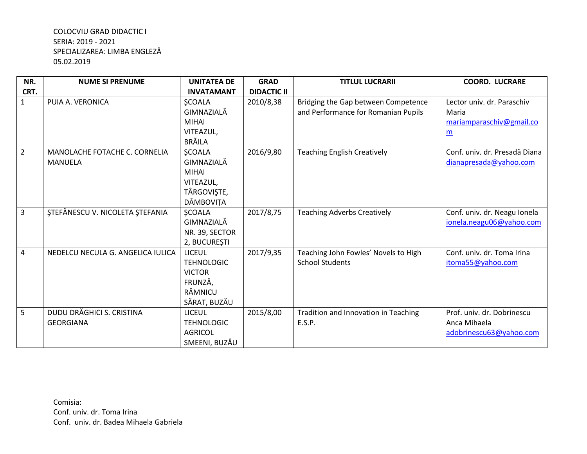| NR.            | <b>NUME SI PRENUME</b>            | <b>UNITATEA DE</b>          | <b>GRAD</b>        | <b>TITLUL LUCRARII</b>                                                     | <b>COORD. LUCRARE</b>               |
|----------------|-----------------------------------|-----------------------------|--------------------|----------------------------------------------------------------------------|-------------------------------------|
| CRT.           |                                   | <b>INVATAMANT</b>           | <b>DIDACTIC II</b> |                                                                            |                                     |
| $\mathbf{1}$   | PUIA A. VERONICA                  | <b>ŞCOALA</b><br>GIMNAZIALĂ | 2010/8,38          | Bridging the Gap between Competence<br>and Performance for Romanian Pupils | Lector univ. dr. Paraschiv<br>Maria |
|                |                                   | <b>MIHAI</b>                |                    |                                                                            | mariamparaschiv@gmail.co            |
|                |                                   | VITEAZUL,                   |                    |                                                                            | m                                   |
|                |                                   | <b>BRĂILA</b>               |                    |                                                                            |                                     |
| $\overline{2}$ | MANOLACHE FOTACHE C. CORNELIA     | <b>ŞCOALA</b>               | 2016/9,80          | <b>Teaching English Creatively</b>                                         | Conf. univ. dr. Presadă Diana       |
|                | <b>MANUELA</b>                    | GIMNAZIALĂ                  |                    |                                                                            | dianapresada@yahoo.com              |
|                |                                   | <b>MIHAI</b>                |                    |                                                                            |                                     |
|                |                                   | VITEAZUL,                   |                    |                                                                            |                                     |
|                |                                   | TÂRGOVIȘTE,                 |                    |                                                                            |                                     |
|                |                                   | DÂMBOVIȚA                   |                    |                                                                            |                                     |
| 3              | ȘTEFĂNESCU V. NICOLETA ȘTEFANIA   | <b>ŞCOALA</b>               | 2017/8,75          | <b>Teaching Adverbs Creatively</b>                                         | Conf. univ. dr. Neagu Ionela        |
|                |                                   | GIMNAZIALĂ                  |                    |                                                                            | ionela.neagu06@yahoo.com            |
|                |                                   | NR. 39, SECTOR              |                    |                                                                            |                                     |
|                |                                   | 2, BUCUREȘTI                |                    |                                                                            |                                     |
| 4              | NEDELCU NECULA G. ANGELICA IULICA | <b>LICEUL</b>               | 2017/9,35          | Teaching John Fowles' Novels to High                                       | Conf. univ. dr. Toma Irina          |
|                |                                   | <b>TEHNOLOGIC</b>           |                    | <b>School Students</b>                                                     | itoma55@yahoo.com                   |
|                |                                   | <b>VICTOR</b>               |                    |                                                                            |                                     |
|                |                                   | FRUNZĂ,                     |                    |                                                                            |                                     |
|                |                                   | RÂMNICU                     |                    |                                                                            |                                     |
|                |                                   | SĂRAT, BUZĂU                |                    |                                                                            |                                     |
| 5              | DUDU DRĂGHICI S. CRISTINA         | <b>LICEUL</b>               | 2015/8,00          | Tradition and Innovation in Teaching                                       | Prof. univ. dr. Dobrinescu          |
|                | <b>GEORGIANA</b>                  | <b>TEHNOLOGIC</b>           |                    | E.S.P.                                                                     | Anca Mihaela                        |
|                |                                   | <b>AGRICOL</b>              |                    |                                                                            | adobrinescu63@yahoo.com             |
|                |                                   | SMEENI, BUZĂU               |                    |                                                                            |                                     |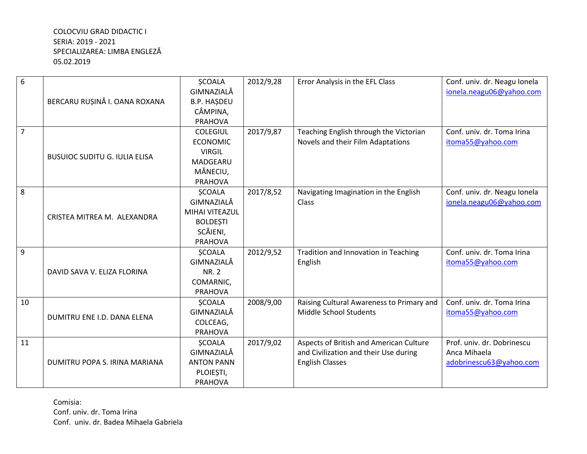| 6  |                                      | <b>ŞCOALA</b>      | 2012/9,28 | Error Analysis in the EFL Class           | Conf. univ. dr. Neagu Ionela |
|----|--------------------------------------|--------------------|-----------|-------------------------------------------|------------------------------|
|    |                                      | GIMNAZIALĂ         |           |                                           | ionela.neagu06@yahoo.com     |
|    | BERCARU RUSINĂ I. OANA ROXANA        | <b>B.P. HASDEU</b> |           |                                           |                              |
|    |                                      | CÂMPINA,           |           |                                           |                              |
|    |                                      | <b>PRAHOVA</b>     |           |                                           |                              |
| 7  |                                      | <b>COLEGIUL</b>    | 2017/9,87 | Teaching English through the Victorian    | Conf. univ. dr. Toma Irina   |
|    |                                      | <b>ECONOMIC</b>    |           | Novels and their Film Adaptations         | itoma55@yahoo.com            |
|    | <b>BUSUIOC SUDITU G. IULIA ELISA</b> | <b>VIRGIL</b>      |           |                                           |                              |
|    |                                      | MADGEARU           |           |                                           |                              |
|    |                                      | MĂNECIU,           |           |                                           |                              |
|    |                                      | <b>PRAHOVA</b>     |           |                                           |                              |
| 8  |                                      | <b>ŞCOALA</b>      | 2017/8,52 | Navigating Imagination in the English     | Conf. univ. dr. Neagu Ionela |
|    |                                      | GIMNAZIALĂ         |           | Class                                     | ionela.neagu06@yahoo.com     |
|    | CRISTEA MITREA M. ALEXANDRA          | MIHAI VITEAZUL     |           |                                           |                              |
|    |                                      | <b>BOLDEȘTI</b>    |           |                                           |                              |
|    |                                      | SCĂIENI,           |           |                                           |                              |
|    |                                      | <b>PRAHOVA</b>     |           |                                           |                              |
| 9  |                                      | <b>ŞCOALA</b>      | 2012/9,52 | Tradition and Innovation in Teaching      | Conf. univ. dr. Toma Irina   |
|    |                                      | GIMNAZIALĂ         |           | English                                   | itoma55@yahoo.com            |
|    | DAVID SAVA V. ELIZA FLORINA          | <b>NR. 2</b>       |           |                                           |                              |
|    |                                      | COMARNIC,          |           |                                           |                              |
|    |                                      | PRAHOVA            |           |                                           |                              |
| 10 |                                      | <b>SCOALA</b>      | 2008/9,00 | Raising Cultural Awareness to Primary and | Conf. univ. dr. Toma Irina   |
|    | DUMITRU ENE I.D. DANA ELENA          | GIMNAZIALĂ         |           | Middle School Students                    | itoma55@yahoo.com            |
|    |                                      | COLCEAG,           |           |                                           |                              |
|    |                                      | <b>PRAHOVA</b>     |           |                                           |                              |
| 11 |                                      | <b>ŞCOALA</b>      | 2017/9,02 | Aspects of British and American Culture   | Prof. univ. dr. Dobrinescu   |
|    |                                      | GIMNAZIALĂ         |           | and Civilization and their Use during     | Anca Mihaela                 |
|    | DUMITRU POPA S. IRINA MARIANA        | <b>ANTON PANN</b>  |           | <b>English Classes</b>                    | adobrinescu63@yahoo.com      |
|    |                                      | PLOIEȘTI,          |           |                                           |                              |
|    |                                      | <b>PRAHOVA</b>     |           |                                           |                              |

Comisia: Conf. univ. dr. Toma Irina Conf. univ. dr. Badea Mihaela Gabriela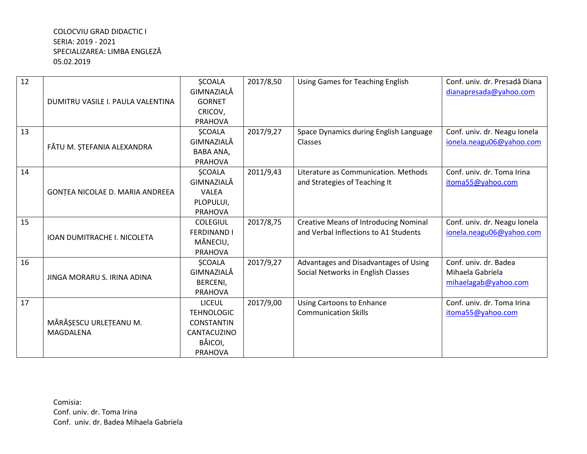| 12 |                                   | <b>ŞCOALA</b>      | 2017/8,50 | <b>Using Games for Teaching English</b>      | Conf. univ. dr. Presadă Diana |
|----|-----------------------------------|--------------------|-----------|----------------------------------------------|-------------------------------|
|    |                                   | GIMNAZIALĂ         |           |                                              | dianapresada@yahoo.com        |
|    | DUMITRU VASILE I. PAULA VALENTINA | <b>GORNET</b>      |           |                                              |                               |
|    |                                   | CRICOV,            |           |                                              |                               |
|    |                                   | <b>PRAHOVA</b>     |           |                                              |                               |
| 13 |                                   | <b>ŞCOALA</b>      | 2017/9,27 | Space Dynamics during English Language       | Conf. univ. dr. Neagu Ionela  |
|    | FĂTU M. ȘTEFANIA ALEXANDRA        | GIMNAZIALĂ         |           | Classes                                      | ionela.neagu06@yahoo.com      |
|    |                                   | <b>BABA ANA,</b>   |           |                                              |                               |
|    |                                   | <b>PRAHOVA</b>     |           |                                              |                               |
| 14 |                                   | <b>SCOALA</b>      | 2011/9,43 | Literature as Communication. Methods         | Conf. univ. dr. Toma Irina    |
|    |                                   | GIMNAZIALĂ         |           | and Strategies of Teaching It                | itoma55@yahoo.com             |
|    | GONȚEA NICOLAE D. MARIA ANDREEA   | <b>VALEA</b>       |           |                                              |                               |
|    |                                   | PLOPULUI,          |           |                                              |                               |
|    |                                   | <b>PRAHOVA</b>     |           |                                              |                               |
| 15 |                                   | <b>COLEGIUL</b>    | 2017/8,75 | <b>Creative Means of Introducing Nominal</b> | Conf. univ. dr. Neagu Ionela  |
|    | IOAN DUMITRACHE I. NICOLETA       | <b>FERDINAND I</b> |           | and Verbal Inflections to A1 Students        | ionela.neagu06@yahoo.com      |
|    |                                   | MĂNECIU,           |           |                                              |                               |
|    |                                   | <b>PRAHOVA</b>     |           |                                              |                               |
| 16 | JINGA MORARU S. IRINA ADINA       | <b>ŞCOALA</b>      | 2017/9,27 | Advantages and Disadvantages of Using        | Conf. univ. dr. Badea         |
|    |                                   | GIMNAZIALĂ         |           | Social Networks in English Classes           | Mihaela Gabriela              |
|    |                                   | BERCENI,           |           |                                              | mihaelagab@yahoo.com          |
|    |                                   | <b>PRAHOVA</b>     |           |                                              |                               |
| 17 |                                   | <b>LICEUL</b>      | 2017/9,00 | <b>Using Cartoons to Enhance</b>             | Conf. univ. dr. Toma Irina    |
|    |                                   | <b>TEHNOLOGIC</b>  |           | <b>Communication Skills</b>                  | itoma55@yahoo.com             |
|    | MĂRĂȘESCU URLEȚEANU M.            | <b>CONSTANTIN</b>  |           |                                              |                               |
|    | <b>MAGDALENA</b>                  | CANTACUZINO        |           |                                              |                               |
|    |                                   | BĂICOI,            |           |                                              |                               |
|    |                                   | <b>PRAHOVA</b>     |           |                                              |                               |